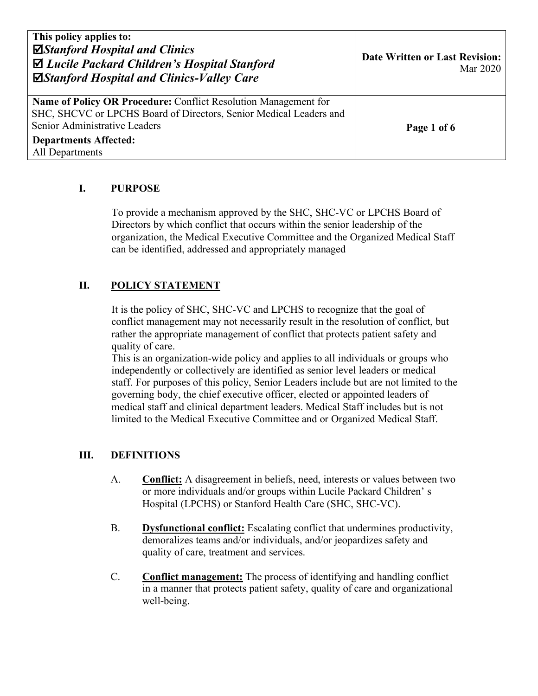| This policy applies to:<br>⊠Stanford Hospital and Clinics<br>$\Delta$ Lucile Packard Children's Hospital Stanford<br>⊠Stanford Hospital and Clinics-Valley Care        | <b>Date Written or Last Revision:</b><br>Mar 2020 |
|------------------------------------------------------------------------------------------------------------------------------------------------------------------------|---------------------------------------------------|
| Name of Policy OR Procedure: Conflict Resolution Management for<br>SHC, SHCVC or LPCHS Board of Directors, Senior Medical Leaders and<br>Senior Administrative Leaders | Page 1 of 6                                       |
| <b>Departments Affected:</b><br>All Departments                                                                                                                        |                                                   |

# **I. PURPOSE**

To provide a mechanism approved by the SHC, SHC-VC or LPCHS Board of Directors by which conflict that occurs within the senior leadership of the organization, the Medical Executive Committee and the Organized Medical Staff can be identified, addressed and appropriately managed

# **II. POLICY STATEMENT**

It is the policy of SHC, SHC-VC and LPCHS to recognize that the goal of conflict management may not necessarily result in the resolution of conflict, but rather the appropriate management of conflict that protects patient safety and quality of care.

This is an organization-wide policy and applies to all individuals or groups who independently or collectively are identified as senior level leaders or medical staff. For purposes of this policy, Senior Leaders include but are not limited to the governing body, the chief executive officer, elected or appointed leaders of medical staff and clinical department leaders. Medical Staff includes but is not limited to the Medical Executive Committee and or Organized Medical Staff.

## **III. DEFINITIONS**

- A. **Conflict:** A disagreement in beliefs, need, interests or values between two or more individuals and/or groups within Lucile Packard Children' s Hospital (LPCHS) or Stanford Health Care (SHC, SHC-VC).
- B. **Dysfunctional conflict:** Escalating conflict that undermines productivity, demoralizes teams and/or individuals, and/or jeopardizes safety and quality of care, treatment and services.
- C. **Conflict management:** The process of identifying and handling conflict in a manner that protects patient safety, quality of care and organizational well-being.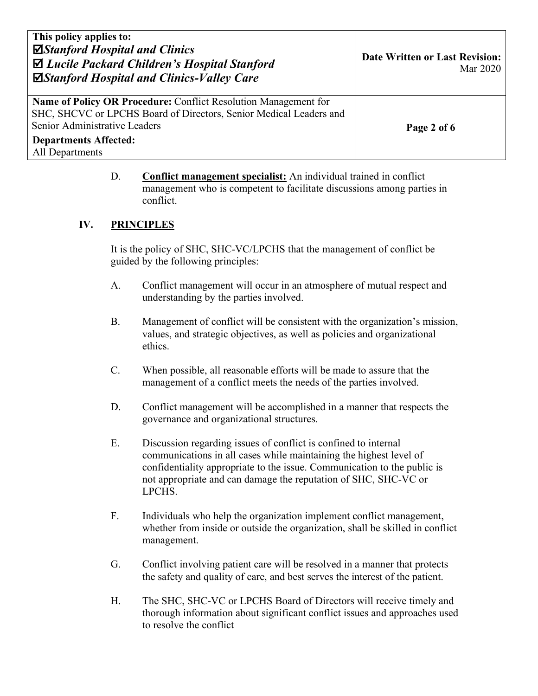| This policy applies to:<br>⊠Stanford Hospital and Clinics<br>$\Delta$ Lucile Packard Children's Hospital Stanford<br>⊠Stanford Hospital and Clinics-Valley Care        | <b>Date Written or Last Revision:</b><br>Mar 2020 |
|------------------------------------------------------------------------------------------------------------------------------------------------------------------------|---------------------------------------------------|
| Name of Policy OR Procedure: Conflict Resolution Management for<br>SHC, SHCVC or LPCHS Board of Directors, Senior Medical Leaders and<br>Senior Administrative Leaders | Page 2 of 6                                       |
| <b>Departments Affected:</b><br>All Departments                                                                                                                        |                                                   |

D. **Conflict management specialist:** An individual trained in conflict management who is competent to facilitate discussions among parties in conflict.

## **IV. PRINCIPLES**

It is the policy of SHC, SHC-VC/LPCHS that the management of conflict be guided by the following principles:

- A. Conflict management will occur in an atmosphere of mutual respect and understanding by the parties involved.
- B. Management of conflict will be consistent with the organization's mission, values, and strategic objectives, as well as policies and organizational ethics.
- C. When possible, all reasonable efforts will be made to assure that the management of a conflict meets the needs of the parties involved.
- D. Conflict management will be accomplished in a manner that respects the governance and organizational structures.
- E. Discussion regarding issues of conflict is confined to internal communications in all cases while maintaining the highest level of confidentiality appropriate to the issue. Communication to the public is not appropriate and can damage the reputation of SHC, SHC-VC or LPCHS.
- F. Individuals who help the organization implement conflict management, whether from inside or outside the organization, shall be skilled in conflict management.
- G. Conflict involving patient care will be resolved in a manner that protects the safety and quality of care, and best serves the interest of the patient.
- H. The SHC, SHC-VC or LPCHS Board of Directors will receive timely and thorough information about significant conflict issues and approaches used to resolve the conflict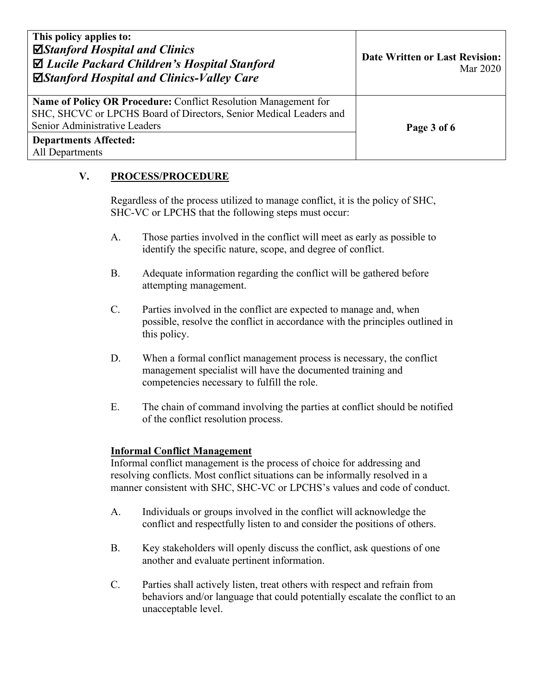| This policy applies to:<br>⊠Stanford Hospital and Clinics<br>$\Delta$ Lucile Packard Children's Hospital Stanford<br>⊠Stanford Hospital and Clinics-Valley Care        | <b>Date Written or Last Revision:</b><br>Mar 2020 |
|------------------------------------------------------------------------------------------------------------------------------------------------------------------------|---------------------------------------------------|
| Name of Policy OR Procedure: Conflict Resolution Management for<br>SHC, SHCVC or LPCHS Board of Directors, Senior Medical Leaders and<br>Senior Administrative Leaders | Page 3 of 6                                       |
| <b>Departments Affected:</b><br>All Departments                                                                                                                        |                                                   |

## **V. PROCESS/PROCEDURE**

Regardless of the process utilized to manage conflict, it is the policy of SHC, SHC-VC or LPCHS that the following steps must occur:

- A. Those parties involved in the conflict will meet as early as possible to identify the specific nature, scope, and degree of conflict.
- B. Adequate information regarding the conflict will be gathered before attempting management.
- C. Parties involved in the conflict are expected to manage and, when possible, resolve the conflict in accordance with the principles outlined in this policy.
- D. When a formal conflict management process is necessary, the conflict management specialist will have the documented training and competencies necessary to fulfill the role.
- E. The chain of command involving the parties at conflict should be notified of the conflict resolution process.

## **Informal Conflict Management**

Informal conflict management is the process of choice for addressing and resolving conflicts. Most conflict situations can be informally resolved in a manner consistent with SHC, SHC-VC or LPCHS's values and code of conduct.

- A. Individuals or groups involved in the conflict will acknowledge the conflict and respectfully listen to and consider the positions of others.
- B. Key stakeholders will openly discuss the conflict, ask questions of one another and evaluate pertinent information.
- C. Parties shall actively listen, treat others with respect and refrain from behaviors and/or language that could potentially escalate the conflict to an unacceptable level.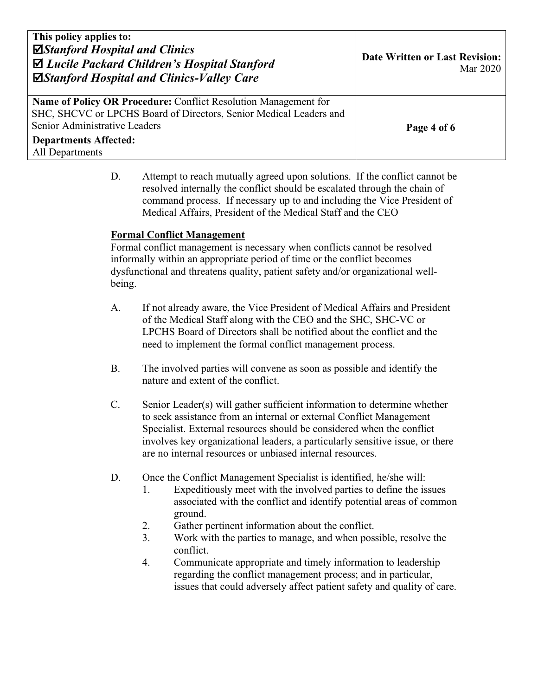| This policy applies to:<br>⊠Stanford Hospital and Clinics<br>$\Delta$ Lucile Packard Children's Hospital Stanford<br>⊠Stanford Hospital and Clinics-Valley Care        | <b>Date Written or Last Revision:</b><br>Mar 2020 |
|------------------------------------------------------------------------------------------------------------------------------------------------------------------------|---------------------------------------------------|
| Name of Policy OR Procedure: Conflict Resolution Management for<br>SHC, SHCVC or LPCHS Board of Directors, Senior Medical Leaders and<br>Senior Administrative Leaders | Page 4 of 6                                       |
| <b>Departments Affected:</b><br>All Departments                                                                                                                        |                                                   |

D. Attempt to reach mutually agreed upon solutions. If the conflict cannot be resolved internally the conflict should be escalated through the chain of command process. If necessary up to and including the Vice President of Medical Affairs, President of the Medical Staff and the CEO

### **Formal Conflict Management**

Formal conflict management is necessary when conflicts cannot be resolved informally within an appropriate period of time or the conflict becomes dysfunctional and threatens quality, patient safety and/or organizational wellbeing.

- A. If not already aware, the Vice President of Medical Affairs and President of the Medical Staff along with the CEO and the SHC, SHC-VC or LPCHS Board of Directors shall be notified about the conflict and the need to implement the formal conflict management process.
- B. The involved parties will convene as soon as possible and identify the nature and extent of the conflict.
- C. Senior Leader(s) will gather sufficient information to determine whether to seek assistance from an internal or external Conflict Management Specialist. External resources should be considered when the conflict involves key organizational leaders, a particularly sensitive issue, or there are no internal resources or unbiased internal resources.
- D. Once the Conflict Management Specialist is identified, he/she will:
	- 1. Expeditiously meet with the involved parties to define the issues associated with the conflict and identify potential areas of common ground.
	- 2. Gather pertinent information about the conflict.
	- 3. Work with the parties to manage, and when possible, resolve the conflict.
	- 4. Communicate appropriate and timely information to leadership regarding the conflict management process; and in particular, issues that could adversely affect patient safety and quality of care.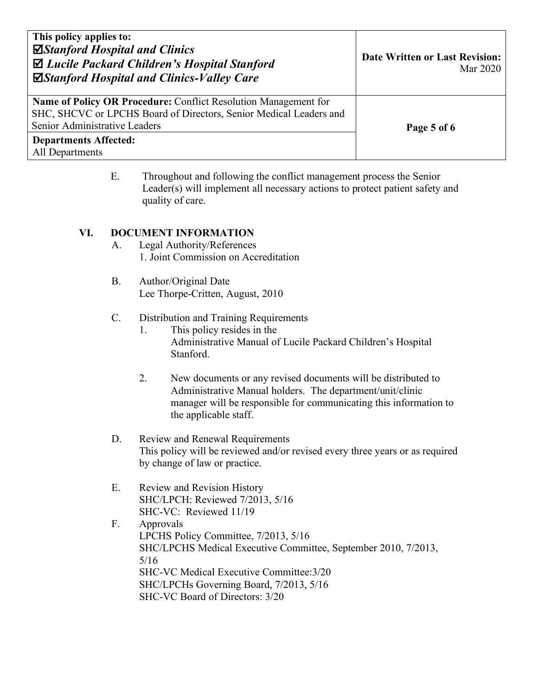| This policy applies to:<br>⊠Stanford Hospital and Clinics<br>$\Delta$ Lucile Packard Children's Hospital Stanford<br>⊠Stanford Hospital and Clinics-Valley Care        | <b>Date Written or Last Revision:</b><br>Mar 2020 |
|------------------------------------------------------------------------------------------------------------------------------------------------------------------------|---------------------------------------------------|
| Name of Policy OR Procedure: Conflict Resolution Management for<br>SHC, SHCVC or LPCHS Board of Directors, Senior Medical Leaders and<br>Senior Administrative Leaders | Page 5 of 6                                       |
| <b>Departments Affected:</b><br>All Departments                                                                                                                        |                                                   |

E. Throughout and following the conflict management process the Senior Leader(s) will implement all necessary actions to protect patient safety and quality of care.

#### **VI. DOCUMENT INFORMATION**

- A. Legal Authority/References 1. Joint Commission on Accreditation
- B. Author/Original Date Lee Thorpe-Critten, August, 2010
- C. Distribution and Training Requirements
	- 1. This policy resides in the Administrative Manual of Lucile Packard Children's Hospital Stanford.
	- 2. New documents or any revised documents will be distributed to Administrative Manual holders. The department/unit/clinic manager will be responsible for communicating this information to the applicable staff.
- D. Review and Renewal Requirements This policy will be reviewed and/or revised every three years or as required by change of law or practice.
- E. Review and Revision History SHC/LPCH: Reviewed 7/2013, 5/16 SHC-VC: Reviewed 11/19
- F. Approvals LPCHS Policy Committee, 7/2013, 5/16 SHC/LPCHS Medical Executive Committee, September 2010, 7/2013, 5/16 SHC-VC Medical Executive Committee:3/20 SHC/LPCHs Governing Board, 7/2013, 5/16 SHC-VC Board of Directors: 3/20